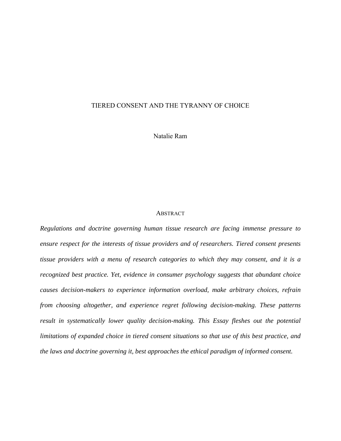# TIERED CONSENT AND THE TYRANNY OF CHOICE

Natalie Ram

#### **ABSTRACT**

*Regulations and doctrine governing human tissue research are facing immense pressure to ensure respect for the interests of tissue providers and of researchers. Tiered consent presents tissue providers with a menu of research categories to which they may consent, and it is a recognized best practice. Yet, evidence in consumer psychology suggests that abundant choice causes decision-makers to experience information overload, make arbitrary choices, refrain from choosing altogether, and experience regret following decision-making. These patterns result in systematically lower quality decision-making. This Essay fleshes out the potential limitations of expanded choice in tiered consent situations so that use of this best practice, and the laws and doctrine governing it, best approaches the ethical paradigm of informed consent.*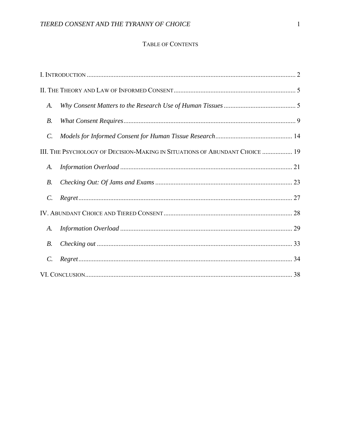# TABLE OF CONTENTS

| A.              |                                                                             |  |
|-----------------|-----------------------------------------------------------------------------|--|
| В.              |                                                                             |  |
| $\mathcal{C}$ . |                                                                             |  |
|                 | III. THE PSYCHOLOGY OF DECISION-MAKING IN SITUATIONS OF ABUNDANT CHOICE  19 |  |
| A.              |                                                                             |  |
| <i>B</i> .      |                                                                             |  |
| $\mathcal{C}$ . |                                                                             |  |
|                 |                                                                             |  |
| A.              |                                                                             |  |
| <i>B</i> .      |                                                                             |  |
| $\mathcal{C}$ . |                                                                             |  |
|                 |                                                                             |  |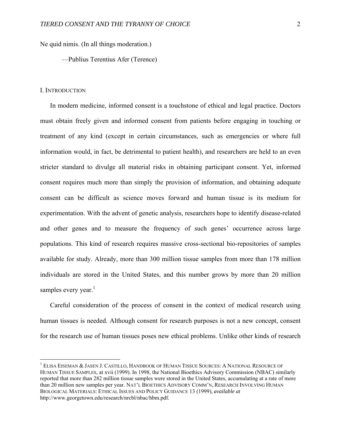Ne quid nimis. (In all things moderation.)

—Publius Terentius Afer (Terence)

#### I. INTRODUCTION

 $\overline{a}$ 

In modern medicine, informed consent is a touchstone of ethical and legal practice. Doctors must obtain freely given and informed consent from patients before engaging in touching or treatment of any kind (except in certain circumstances, such as emergencies or where full information would, in fact, be detrimental to patient health), and researchers are held to an even stricter standard to divulge all material risks in obtaining participant consent. Yet, informed consent requires much more than simply the provision of information, and obtaining adequate consent can be difficult as science moves forward and human tissue is its medium for experimentation. With the advent of genetic analysis, researchers hope to identify disease-related and other genes and to measure the frequency of such genes' occurrence across large populations. This kind of research requires massive cross-sectional bio-repositories of samples available for study. Already, more than 300 million tissue samples from more than 178 million individuals are stored in the United States, and this number grows by more than 20 million samples every year.<sup>1</sup>

Careful consideration of the process of consent in the context of medical research using human tissues is needed. Although consent for research purposes is not a new concept, consent for the research use of human tissues poses new ethical problems. Unlike other kinds of research

<sup>&</sup>lt;sup>1</sup> ELISA EISEMAN & JASEN J. CASTILLO, HANDBOOK OF HUMAN TISSUE SOURCES: A NATIONAL RESOURCE OF HUMAN TISSUE SAMPLES, at xvii (1999). In 1998, the National Bioethics Advisory Commission (NBAC) similarly reported that more than 282 million tissue samples were stored in the United States, accumulating at a rate of more than 20 million new samples per year. NAT'L BIOETHICS ADVISORY COMM'N, RESEARCH INVOLVING HUMAN BIOLOGICAL MATERIALS: ETHICAL ISSUES AND POLICY GUIDANCE 13 (1999), *available at* http://www.georgetown.edu/research/nrcbl/nbac/hbm.pdf.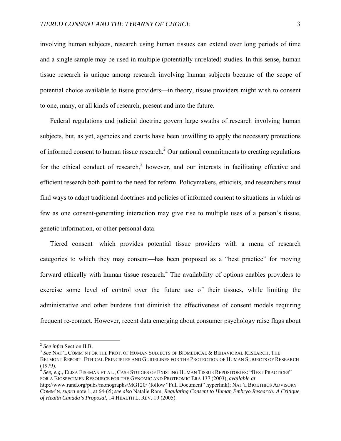involving human subjects, research using human tissues can extend over long periods of time and a single sample may be used in multiple (potentially unrelated) studies. In this sense, human tissue research is unique among research involving human subjects because of the scope of potential choice available to tissue providers—in theory, tissue providers might wish to consent to one, many, or all kinds of research, present and into the future.

Federal regulations and judicial doctrine govern large swaths of research involving human subjects, but, as yet, agencies and courts have been unwilling to apply the necessary protections of informed consent to human tissue research.<sup>2</sup> Our national commitments to creating regulations for the ethical conduct of research, $3$  however, and our interests in facilitating effective and efficient research both point to the need for reform. Policymakers, ethicists, and researchers must find ways to adapt traditional doctrines and policies of informed consent to situations in which as few as one consent-generating interaction may give rise to multiple uses of a person's tissue, genetic information, or other personal data.

Tiered consent—which provides potential tissue providers with a menu of research categories to which they may consent—has been proposed as a "best practice" for moving forward ethically with human tissue research.<sup>4</sup> The availability of options enables providers to exercise some level of control over the future use of their tissues, while limiting the administrative and other burdens that diminish the effectiveness of consent models requiring frequent re-contact. However, recent data emerging about consumer psychology raise flags about

 $\overline{a}$ 

<sup>4</sup> *See, e.g.*, ELISA EISEMAN ET AL., CASE STUDIES OF EXISTING HUMAN TISSUE REPOSITORIES: "BEST PRACTICES" FOR A BIOSPECIMEN RESOURCE FOR THE GENOMIC AND PROTEOMIC ERA 137 (2003), *available at*

<sup>&</sup>lt;sup>2</sup> See infra Section II.B.<br><sup>3</sup> See NAT'L COMM'N FOR THE PROT. OF HUMAN SUBJECTS OF BIOMEDICAL & BEHAVIORAL RESEARCH, THE BELMONT REPORT: ETHICAL PRINCIPLES AND GUIDELINES FOR THE PROTECTION OF HUMAN SUBJECTS OF RESEARCH (1979).

http://www.rand.org/pubs/monographs/MG120/ (follow "Full Document" hyperlink); NAT'L BIOETHICS ADVISORY COMM'N, *supra* note 1, at 64-65; *see also* Natalie Ram, *Regulating Consent to Human Embryo Research: A Critique of Health Canada's Proposal*, 14 HEALTH L. REV. 19 (2005).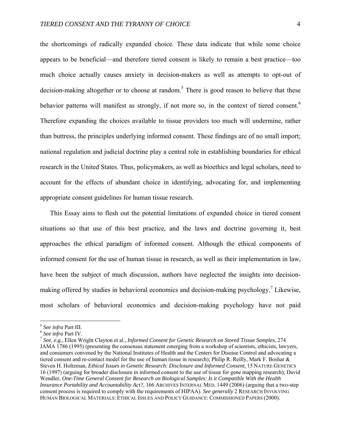the shortcomings of radically expanded choice. These data indicate that while some choice appears to be beneficial—and therefore tiered consent is likely to remain a best practice—too much choice actually causes anxiety in decision-makers as well as attempts to opt-out of decision-making altogether or to choose at random.<sup>5</sup> There is good reason to believe that these behavior patterns will manifest as strongly, if not more so, in the context of tiered consent.<sup>6</sup> Therefore expanding the choices available to tissue providers too much will undermine, rather than buttress, the principles underlying informed consent. These findings are of no small import; national regulation and judicial doctrine play a central role in establishing boundaries for ethical research in the United States. Thus, policymakers, as well as bioethics and legal scholars, need to account for the effects of abundant choice in identifying, advocating for, and implementing appropriate consent guidelines for human tissue research.

This Essay aims to flesh out the potential limitations of expanded choice in tiered consent situations so that use of this best practice, and the laws and doctrine governing it, best approaches the ethical paradigm of informed consent. Although the ethical components of informed consent for the use of human tissue in research, as well as their implementation in law, have been the subject of much discussion, authors have neglected the insights into decisionmaking offered by studies in behavioral economics and decision-making psychology.<sup>7</sup> Likewise, most scholars of behavioral economics and decision-making psychology have not paid

<sup>&</sup>lt;sup>5</sup> See infra Part III.<br><sup>6</sup> See infra Part IV.<br><sup>7</sup> See, e.g., Ellen Wright Clayton et al., *Informed Consent for Genetic Research on Stored Tissue Samples, 274* JAMA 1786 (1995) (presenting the consensus statement emerging from a workshop of scientists, ethicists, lawyers, and consumers convened by the National Institutes of Health and the Centers for Disease Control and advocating a tiered consent and re-contact model for the use of human tissue in research); Philip R. Reilly, Mark F. Boshar & Steven H. Holtzman, *Ethical Issues in Genetic Research: Disclosure and Informed Consent*, 15 NATURE GENETICS 16 (1997) (arguing for broader disclosure in informed consent to the use of tissue for gene mapping research); David Wendler, *One-Time General Consent for Research on Biological Samples: Is it Compatible With the Health Insurance Portability and Accountability Act?*, 166 ARCHIVES INTERNAL MED. 1449 (2006) (arguing that a two-step consent process is required to comply with the requirements of HIPAA). *See generally* 2 RESEARCH INVOLVING HUMAN BIOLOGICAL MATERIALS: ETHICAL ISSUES AND POLICY GUIDANCE: COMMISSIONED PAPERS (2000).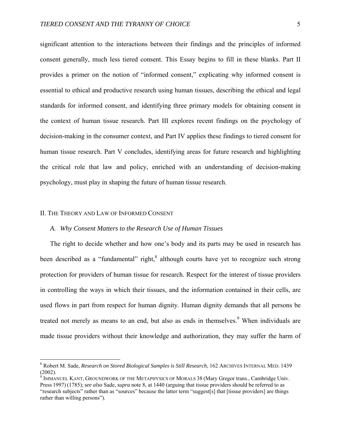significant attention to the interactions between their findings and the principles of informed consent generally, much less tiered consent. This Essay begins to fill in these blanks. Part II provides a primer on the notion of "informed consent," explicating why informed consent is essential to ethical and productive research using human tissues, describing the ethical and legal standards for informed consent, and identifying three primary models for obtaining consent in the context of human tissue research. Part III explores recent findings on the psychology of decision-making in the consumer context, and Part IV applies these findings to tiered consent for human tissue research. Part V concludes, identifying areas for future research and highlighting the critical role that law and policy, enriched with an understanding of decision-making psychology, must play in shaping the future of human tissue research.

### II. THE THEORY AND LAW OF INFORMED CONSENT

 $\overline{a}$ 

## *A. Why Consent Matters to the Research Use of Human Tissues*

The right to decide whether and how one's body and its parts may be used in research has been described as a "fundamental" right, ${}^{8}$  although courts have yet to recognize such strong protection for providers of human tissue for research. Respect for the interest of tissue providers in controlling the ways in which their tissues, and the information contained in their cells, are used flows in part from respect for human dignity. Human dignity demands that all persons be treated not merely as means to an end, but also as ends in themselves.<sup>9</sup> When individuals are made tissue providers without their knowledge and authorization, they may suffer the harm of

<sup>8</sup> Robert M. Sade, *Research on Stored Biological Samples is Still Research*, 162 ARCHIVES INTERNAL MED. 1439 (2002).

 $9 \overline{9}$  IMMANUEL KANT, GROUNDWORK OF THE METAPHYSICS OF MORALS 38 (Mary Gregor trans., Cambridge Univ. Press 1997) (1785); *see also* Sade, *supra* note 8, at 1440 (arguing that tissue providers should be referred to as "research subjects" rather than as "sources" because the latter term "suggest[s] that [tissue providers] are things rather than willing persons").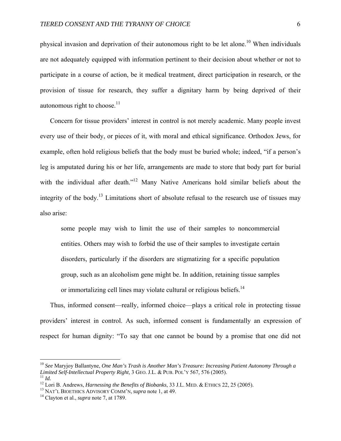physical invasion and deprivation of their autonomous right to be let alone.<sup>10</sup> When individuals are not adequately equipped with information pertinent to their decision about whether or not to participate in a course of action, be it medical treatment, direct participation in research, or the provision of tissue for research, they suffer a dignitary harm by being deprived of their autonomous right to choose. $11$ 

Concern for tissue providers' interest in control is not merely academic. Many people invest every use of their body, or pieces of it, with moral and ethical significance. Orthodox Jews, for example, often hold religious beliefs that the body must be buried whole; indeed, "if a person's leg is amputated during his or her life, arrangements are made to store that body part for burial with the individual after death."<sup>12</sup> Many Native Americans hold similar beliefs about the integrity of the body.13 Limitations short of absolute refusal to the research use of tissues may also arise:

some people may wish to limit the use of their samples to noncommercial entities. Others may wish to forbid the use of their samples to investigate certain disorders, particularly if the disorders are stigmatizing for a specific population group, such as an alcoholism gene might be. In addition, retaining tissue samples or immortalizing cell lines may violate cultural or religious beliefs.<sup>14</sup>

Thus, informed consent—really, informed choice—plays a critical role in protecting tissue providers' interest in control. As such, informed consent is fundamentally an expression of respect for human dignity: "To say that one cannot be bound by a promise that one did not

1

<sup>10</sup> *See* Maryjoy Ballantyne, *One Man's Trash is Another Man's Treasure: Increasing Patient Autonomy Through a*  Limited Self-Intellectual Property Right, 3 GEO. J.L. & PUB. POL'Y 567, 576 (2005).<br>
<sup>11</sup> Id.<br>
<sup>12</sup> Lori B. Andrews, *Harnessing the Benefits of Biobanks*, 33 J.L. MED. & ETHICS 22, 25 (2005).<br>
<sup>13</sup> NAT'L BIOETHICS ADVISOR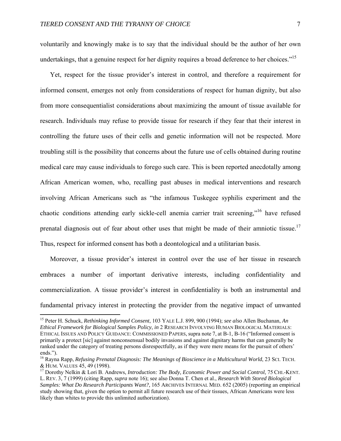voluntarily and knowingly make is to say that the individual should be the author of her own undertakings, that a genuine respect for her dignity requires a broad deference to her choices."<sup>15</sup>

Yet, respect for the tissue provider's interest in control, and therefore a requirement for informed consent, emerges not only from considerations of respect for human dignity, but also from more consequentialist considerations about maximizing the amount of tissue available for research. Individuals may refuse to provide tissue for research if they fear that their interest in controlling the future uses of their cells and genetic information will not be respected. More troubling still is the possibility that concerns about the future use of cells obtained during routine medical care may cause individuals to forego such care. This is been reported anecdotally among African American women, who, recalling past abuses in medical interventions and research involving African Americans such as "the infamous Tuskegee syphilis experiment and the chaotic conditions attending early sickle-cell anemia carrier trait screening,"16 have refused prenatal diagnosis out of fear about other uses that might be made of their amniotic tissue.<sup>17</sup> Thus, respect for informed consent has both a deontological and a utilitarian basis.

Moreover, a tissue provider's interest in control over the use of her tissue in research embraces a number of important derivative interests, including confidentiality and commercialization. A tissue provider's interest in confidentiality is both an instrumental and fundamental privacy interest in protecting the provider from the negative impact of unwanted

1

<sup>15</sup> Peter H. Schuck, *Rethinking Informed Consent*, 103 YALE L.J. 899, 900 (1994); *see also* Allen Buchanan, *An Ethical Framework for Biological Samples Policy*, *in* 2 RESEARCH INVOLVING HUMAN BIOLOGICAL MATERIALS: ETHICAL ISSUES AND POLICY GUIDANCE: COMMISSIONED PAPERS, supra note 7, at B-1, B-16 ("Informed consent is primarily a protect [sic] against nonconsensual bodily invasions and against dignitary harms that can generally be ranked under the category of treating persons disrespectfully, as if they were mere means for the pursuit of others' ends.").

<sup>&</sup>lt;sup>16</sup> Rayna Rapp, *Refusing Prenatal Diagnosis: The Meanings of Bioscience in a Multicultural World*, 23 SCI. TECH.<br>& HUM. VALUES 45, 49 (1998).

<sup>&</sup>lt;sup>17</sup> Dorothy Nelkin & Lori B. Andrews, *Introduction: The Body, Economic Power and Social Control*, 75 CHI.-KENT. L. REV. 3, 7 (1999) (citing Rapp, *supra* note 16); see also Donna T. Chen et al., *Research With Stored Biological Samples: What Do Research Participants Want?*, 165 ARCHIVES INTERNAL MED. 652 (2005) (reporting an empirical study showing that, given the option to permit all future research use of their tissues, African Americans were less likely than whites to provide this unlimited authorization).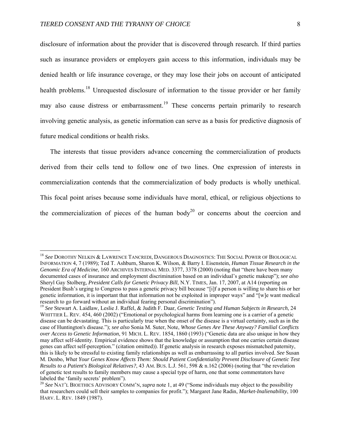$\overline{a}$ 

disclosure of information about the provider that is discovered through research. If third parties such as insurance providers or employers gain access to this information, individuals may be denied health or life insurance coverage, or they may lose their jobs on account of anticipated health problems.<sup>18</sup> Unrequested disclosure of information to the tissue provider or her family may also cause distress or embarrassment.<sup>19</sup> These concerns pertain primarily to research involving genetic analysis, as genetic information can serve as a basis for predictive diagnosis of future medical conditions or health risks.

The interests that tissue providers advance concerning the commercialization of products derived from their cells tend to follow one of two lines. One expression of interests in commercialization contends that the commercialization of body products is wholly unethical. This focal point arises because some individuals have moral, ethical, or religious objections to the commercialization of pieces of the human body<sup>20</sup> or concerns about the coercion and

<sup>18</sup> *See* DOROTHY NELKIN & LAWRENCE TANCREDI, DANGEROUS DIAGNOSTICS: THE SOCIAL POWER OF BIOLOGICAL INFORMATION 4, 7 (1989); Ted T. Ashburn, Sharon K. Wilson, & Barry I. Eisenstein, *Human Tissue Research in the Genomic Era of Medicine*, 160 ARCHIVES INTERNAL MED. 3377, 3378 (2000) (noting that "there have been many documented cases of insurance and employment discrimination based on an individual's genetic makeup"); *see also* Sheryl Gay Stolberg, *President Calls for Genetic Privacy Bill*, N.Y. TIMES, Jan. 17, 2007, at A14 (reporting on President Bush's urging to Congress to pass a genetic privacy bill because "[i]f a person is willing to share his or her genetic information, it is important that that information not be exploited in improper ways" and "[w]e want medical research to go forward without an individual fearing personal discrimination").

<sup>19</sup> *See* Stewart A. Laidlaw, Leslie J. Raffel, & Judith F. Daar, *Genetic Testing and Human Subjects in Research*, 24 WHITTIER L. REV. 454, 460 (2002) ("Emotional or psychological harms from learning one is a carrier of a genetic disease can be devastating. This is particularly true when the onset of the disease is a virtual certainty, such as in the case of Huntington's disease."); *see also* Sonia M. Suter, Note, *Whose Genes Are These Anyway? Familial Conflicts over Access to Genetic Information*, 91 MICH. L. REV. 1854, 1860 (1993) ("Genetic data are also unique in how they may affect self-identity. Empirical evidence shows that the knowledge or assumption that one carries certain disease genes can affect self-perception." (citation omitted)). If genetic analysis in research exposes mismatched paternity, this is likely to be stressful to existing family relationships as well as embarrassing to all parties involved. *See* Susan M. Denbo, *What Your Genes Know Affects Them: Should Patient Confidentiality Prevent Disclosure of Genetic Test Results to a Patient's Biological Relatives?*, 43 AM. BUS. L.J. 561, 598 & n.162 (2006) (noting that "the revelation of genetic test results to family members may cause a special type of harm, one that some commentators have labeled the 'family secrets' problem"). 20 *See* NAT'L BIOETHICS ADVISORY COMM'N, *supra* note 1, at 49 ("Some individuals may object to the possibility

that researchers could sell their samples to companies for profit."); Margaret Jane Radin, *Market-Inalienability*, 100 HARV. L. REV. 1849 (1987).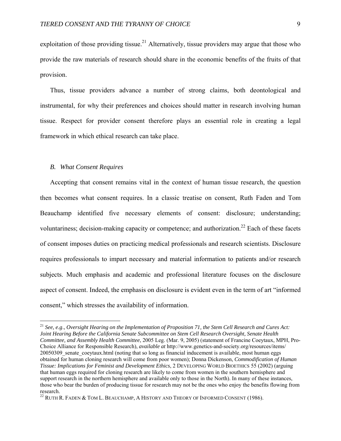exploitation of those providing tissue.<sup>21</sup> Alternatively, tissue providers may argue that those who provide the raw materials of research should share in the economic benefits of the fruits of that provision.

Thus, tissue providers advance a number of strong claims, both deontological and instrumental, for why their preferences and choices should matter in research involving human tissue. Respect for provider consent therefore plays an essential role in creating a legal framework in which ethical research can take place.

## *B. What Consent Requires*

1

Accepting that consent remains vital in the context of human tissue research, the question then becomes what consent requires. In a classic treatise on consent, Ruth Faden and Tom Beauchamp identified five necessary elements of consent: disclosure; understanding; voluntariness; decision-making capacity or competence; and authorization.<sup>22</sup> Each of these facets of consent imposes duties on practicing medical professionals and research scientists. Disclosure requires professionals to impart necessary and material information to patients and/or research subjects. Much emphasis and academic and professional literature focuses on the disclosure aspect of consent. Indeed, the emphasis on disclosure is evident even in the term of art "informed consent," which stresses the availability of information.

<sup>21</sup> *See, e.g*., *Oversight Hearing on the Implementation of Proposition 71, the Stem Cell Research and Cures Act: Joint Hearing Before the California Senate Subcommittee on Stem Cell Research Oversight, Senate Health Committee, and Assembly Health Committee*, 2005 Leg. (Mar. 9, 2005) (statement of Francine Coeytaux, MPH, Pro-Choice Alliance for Responsible Research), *available at* http://www.genetics-and-society.org/resources/items/ 20050309\_senate\_coeytaux.html (noting that so long as financial inducement is available, most human eggs obtained for human cloning research will come from poor women); Donna Dickenson, *Commodification of Human Tissue: Implications for Feminist and Development Ethics*, 2 DEVELOPING WORLD BIOETHICS 55 (2002) (arguing that human eggs required for cloning research are likely to come from women in the southern hemisphere and support research in the northern hemisphere and available only to those in the North). In many of these instances, those who bear the burden of producing tissue for research may not be the ones who enjoy the benefits flowing from research.

 $^{22}$  Ruth R. Faden & Tom L. Beauchamp, A History and Theory of Informed Consent (1986).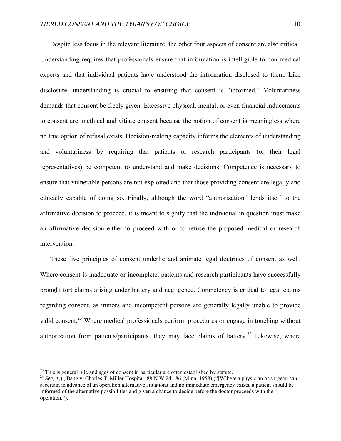Despite less focus in the relevant literature, the other four aspects of consent are also critical. Understanding requires that professionals ensure that information is intelligible to non-medical experts and that individual patients have understood the information disclosed to them. Like disclosure, understanding is crucial to ensuring that consent is "informed." Voluntariness demands that consent be freely given. Excessive physical, mental, or even financial inducements to consent are unethical and vitiate consent because the notion of consent is meaningless where no true option of refusal exists. Decision-making capacity informs the elements of understanding and voluntariness by requiring that patients or research participants (or their legal representatives) be competent to understand and make decisions. Competence is necessary to ensure that vulnerable persons are not exploited and that those providing consent are legally and ethically capable of doing so. Finally, although the word "authorization" lends itself to the affirmative decision to proceed, it is meant to signify that the individual in question must make an affirmative decision either to proceed with or to refuse the proposed medical or research intervention.

These five principles of consent underlie and animate legal doctrines of consent as well. Where consent is inadequate or incomplete, patients and research participants have successfully brought tort claims arising under battery and negligence. Competency is critical to legal claims regarding consent, as minors and incompetent persons are generally legally unable to provide valid consent.<sup>23</sup> Where medical professionals perform procedures or engage in touching without authorization from patients/participants, they may face claims of battery.<sup>24</sup> Likewise, where

 $23$  This is general rule and ages of consent in particular are often established by statute.

<sup>24</sup> *See, e.g.*, Bang v. Charles T. Miller Hospital, 88 N.W.2d 186 (Minn. 1958) ("[W]here a physician or surgeon can ascertain in advance of an operation alternative situations and no immediate emergency exists, a patient should be informed of the alternative possibilities and given a chance to decide before the doctor proceeds with the operation.").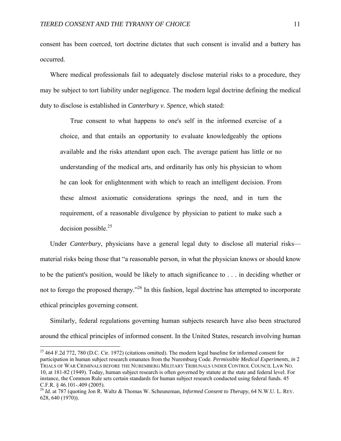consent has been coerced, tort doctrine dictates that such consent is invalid and a battery has occurred.

Where medical professionals fail to adequately disclose material risks to a procedure, they may be subject to tort liability under negligence. The modern legal doctrine defining the medical duty to disclose is established in *Canterbury v. Spence*, which stated:

True consent to what happens to one's self in the informed exercise of a choice, and that entails an opportunity to evaluate knowledgeably the options available and the risks attendant upon each. The average patient has little or no understanding of the medical arts, and ordinarily has only his physician to whom he can look for enlightenment with which to reach an intelligent decision. From these almost axiomatic considerations springs the need, and in turn the requirement, of a reasonable divulgence by physician to patient to make such a decision possible. $^{25}$ 

Under *Canterbury*, physicians have a general legal duty to disclose all material risks material risks being those that "a reasonable person, in what the physician knows or should know to be the patient's position, would be likely to attach significance to . . . in deciding whether or not to forego the proposed therapy.<sup>26</sup> In this fashion, legal doctrine has attempted to incorporate ethical principles governing consent.

Similarly, federal regulations governing human subjects research have also been structured around the ethical principles of informed consent. In the United States, research involving human

<sup>&</sup>lt;sup>25</sup> 464 F.2d 772, 780 (D.C. Cir. 1972) (citations omitted). The modern legal baseline for informed consent for participation in human subject research emanates from the Nuremburg Code. *Permissible Medical Experiments*, *in* 2 TRIALS OF WAR CRIMINALS BEFORE THE NUREMBERG MILITARY TRIBUNALS UNDER CONTROL COUNCIL LAW NO. 10, at 181-82 (1949). Today, human subject research is often governed by statute at the state and federal level. For instance, the Common Rule sets certain standards for human subject research conducted using federal funds. 45 C.F.R. § 46.101-.409 (2005).

<sup>26</sup> *Id.* at 787 (quoting Jon R. Waltz & Thomas W. Scheuneman, *Informed Consent to Therapy*, 64 N.W.U. L. REV. 628, 640 (1970)).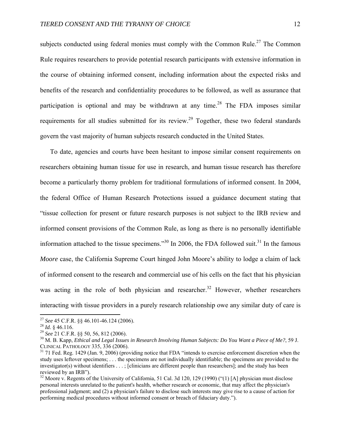subjects conducted using federal monies must comply with the Common Rule.<sup>27</sup> The Common Rule requires researchers to provide potential research participants with extensive information in the course of obtaining informed consent, including information about the expected risks and benefits of the research and confidentiality procedures to be followed, as well as assurance that participation is optional and may be withdrawn at any time.<sup>28</sup> The FDA imposes similar requirements for all studies submitted for its review.<sup>29</sup> Together, these two federal standards govern the vast majority of human subjects research conducted in the United States.

To date, agencies and courts have been hesitant to impose similar consent requirements on researchers obtaining human tissue for use in research, and human tissue research has therefore become a particularly thorny problem for traditional formulations of informed consent. In 2004, the federal Office of Human Research Protections issued a guidance document stating that "tissue collection for present or future research purposes is not subject to the IRB review and informed consent provisions of the Common Rule, as long as there is no personally identifiable information attached to the tissue specimens."<sup>30</sup> In 2006, the FDA followed suit.<sup>31</sup> In the famous *Moore* case, the California Supreme Court hinged John Moore's ability to lodge a claim of lack of informed consent to the research and commercial use of his cells on the fact that his physician was acting in the role of both physician and researcher.<sup>32</sup> However, whether researchers interacting with tissue providers in a purely research relationship owe any similar duty of care is

<sup>&</sup>lt;sup>27</sup> See 45 C.F.R. §§ 46.101-46.124 (2006).

<sup>&</sup>lt;sup>28</sup> Id. § 46.116.<br><sup>29</sup> See 21 C.F.R. §§ 50, 56, 812 (2006).<br><sup>30</sup> M. B. Kapp, *Ethical and Legal Issues in Research Involving Human Subjects: Do You Want a Piece of Me?, 59 J.<br>CLINICAL PATHOLOGY 335, 336 (2006).* 

 $31$  71 Fed. Reg. 1429 (Jan. 9, 2006) (providing notice that FDA "intends to exercise enforcement discretion when the study uses leftover specimens; . . . the specimens are not individually identifiable; the specimens are provided to the investigator(s) without identifiers . . . ; [clinicians are different people than researchers]; and the study has been reviewed by an IRB").

 $32$  Moore v. Regents of the University of California, 51 Cal. 3d 120, 129 (1990) ("(1) [A] physician must disclose personal interests unrelated to the patient's health, whether research or economic, that may affect the physician's professional judgment; and (2) a physician's failure to disclose such interests may give rise to a cause of action for performing medical procedures without informed consent or breach of fiduciary duty.").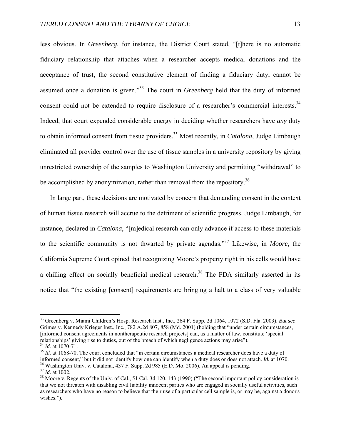less obvious. In *Greenberg*, for instance, the District Court stated, "[t]here is no automatic fiduciary relationship that attaches when a researcher accepts medical donations and the acceptance of trust, the second constitutive element of finding a fiduciary duty, cannot be assumed once a donation is given."33 The court in *Greenberg* held that the duty of informed consent could not be extended to require disclosure of a researcher's commercial interests.<sup>34</sup> Indeed, that court expended considerable energy in deciding whether researchers have *any* duty to obtain informed consent from tissue providers.35 Most recently, in *Catalona*, Judge Limbaugh eliminated all provider control over the use of tissue samples in a university repository by giving unrestricted ownership of the samples to Washington University and permitting "withdrawal" to be accomplished by anonymization, rather than removal from the repository.<sup>36</sup>

In large part, these decisions are motivated by concern that demanding consent in the context of human tissue research will accrue to the detriment of scientific progress. Judge Limbaugh, for instance, declared in *Catalona*, "[m]edical research can only advance if access to these materials to the scientific community is not thwarted by private agendas."37 Likewise, in *Moore*, the California Supreme Court opined that recognizing Moore's property right in his cells would have a chilling effect on socially beneficial medical research.<sup>38</sup> The FDA similarly asserted in its notice that "the existing [consent] requirements are bringing a halt to a class of very valuable

<sup>33</sup> Greenberg v. Miami Children's Hosp. Research Inst., Inc., 264 F. Supp. 2d 1064, 1072 (S.D. Fla. 2003). *But see*  Grimes v. Kennedy Krieger Inst., Inc., 782 A.2d 807, 858 (Md. 2001) (holding that "under certain circumstances, [informed consent agreements in nontherapeutic research projects] can, as a matter of law, constitute 'special relationships' giving rise to duties, out of the breach of which negligence actions may arise").<br> $^{34}$  *Id.* at 1070-71.<br> $^{35}$  *Id.* at 1068-70. The court concluded that "in certain circumstances a medical researcher do

informed consent," but it did not identify how one can identify when a duty does or does not attach. *Id.* at 1070.<br><sup>36</sup> Washington Univ. v. Catalona, 437 F. Supp. 2d 985 (E.D. Mo. 2006). An appeal is pending.<br><sup>37</sup> *Id.* a

<sup>&</sup>lt;sup>38</sup> Moore v. Regents of the Univ. of Cal., 51 Cal. 3d 120, 143 (1990) ("The second important policy consideration is that we not threaten with disabling civil liability innocent parties who are engaged in socially useful activities, such as researchers who have no reason to believe that their use of a particular cell sample is, or may be, against a donor's wishes.").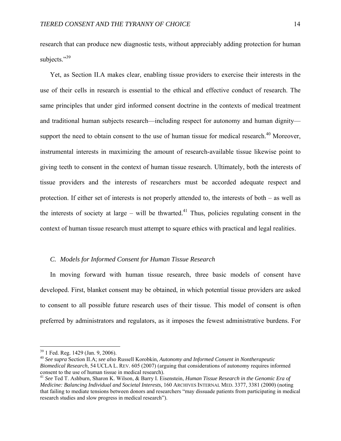research that can produce new diagnostic tests, without appreciably adding protection for human subjects."<sup>39</sup>

Yet, as Section II.A makes clear, enabling tissue providers to exercise their interests in the use of their cells in research is essential to the ethical and effective conduct of research. The same principles that under gird informed consent doctrine in the contexts of medical treatment and traditional human subjects research—including respect for autonomy and human dignity support the need to obtain consent to the use of human tissue for medical research.<sup>40</sup> Moreover, instrumental interests in maximizing the amount of research-available tissue likewise point to giving teeth to consent in the context of human tissue research. Ultimately, both the interests of tissue providers and the interests of researchers must be accorded adequate respect and protection. If either set of interests is not properly attended to, the interests of both – as well as the interests of society at large – will be thwarted.<sup>41</sup> Thus, policies regulating consent in the context of human tissue research must attempt to square ethics with practical and legal realities.

## *C. Models for Informed Consent for Human Tissue Research*

In moving forward with human tissue research, three basic models of consent have developed. First, blanket consent may be obtained, in which potential tissue providers are asked to consent to all possible future research uses of their tissue. This model of consent is often preferred by administrators and regulators, as it imposes the fewest administrative burdens. For

<sup>39 1</sup> Fed. Reg. 1429 (Jan. 9, 2006).

<sup>40</sup> *See supra* Section II.A; *see also* Russell Korobkin, *Autonomy and Informed Consent in Nontherapeutic Biomedical Research*, 54 UCLA L. REV. 605 (2007) (arguing that considerations of autonomy requires informed consent to the use of human tissue in medical research).

<sup>41</sup> *See* Ted T. Ashburn, Sharon K. Wilson, & Barry I. Eisenstein, *Human Tissue Research in the Genomic Era of Medicine: Balancing Individual and Societal Interests*, 160 ARCHIVES INTERNAL MED. 3377, 3381 (2000) (noting that failing to mediate tensions between donors and researchers "may dissuade patients from participating in medical research studies and slow progress in medical research").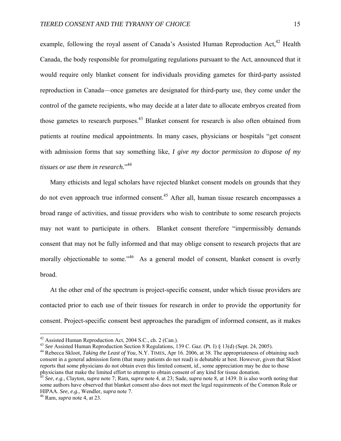example, following the royal assent of Canada's Assisted Human Reproduction Act,<sup>42</sup> Health Canada, the body responsible for promulgating regulations pursuant to the Act, announced that it would require only blanket consent for individuals providing gametes for third-party assisted reproduction in Canada—once gametes are designated for third-party use, they come under the control of the gamete recipients, who may decide at a later date to allocate embryos created from those gametes to research purposes.43 Blanket consent for research is also often obtained from patients at routine medical appointments. In many cases, physicians or hospitals "get consent with admission forms that say something like, *I give my doctor permission to dispose of my tissues or use them in research.*" 44

Many ethicists and legal scholars have rejected blanket consent models on grounds that they do not even approach true informed consent.<sup>45</sup> After all, human tissue research encompasses a broad range of activities, and tissue providers who wish to contribute to some research projects may not want to participate in others. Blanket consent therefore "impermissibly demands consent that may not be fully informed and that may oblige consent to research projects that are morally objectionable to some."<sup>46</sup> As a general model of consent, blanket consent is overly broad.

At the other end of the spectrum is project-specific consent, under which tissue providers are contacted prior to each use of their tissues for research in order to provide the opportunity for consent. Project-specific consent best approaches the paradigm of informed consent, as it makes

<sup>&</sup>lt;sup>42</sup> Assisted Human Reproduction Act, 2004 S.C., ch. 2 (Can.).<br><sup>43</sup> See Assisted Human Reproduction Section 8 Regulations, 139 C. Gaz. (Pt. I) § 13(d) (Sept. 24, 2005).

<sup>&</sup>lt;sup>44</sup> Rebecca Skloot, *Taking the Least of You*, N.Y. TIMES, Apr 16. 2006, at 38. The appropriateness of obtaining such consent in a general admission form (that many patients do not read) is debatable at best. However, given that Skloot reports that some physicians do not obtain even this limited consent, *id.*, some appreciation may be due to those physicians that make the limited effort to attempt to obtain consent of any kind for tissue donation.

<sup>45</sup> *See, e.g.*, Clayton, *supra* note 7; Ram, *supra* note 4, at 23; Sade, *supra* note 8, at 1439. It is also worth noting that some authors have observed that blanket consent also does not meet the legal requirements of the Common Rule or HIPAA. *See, e.g.*, Wendler, *supra* note 7. 46 Ram, *supra* note 4, at 23.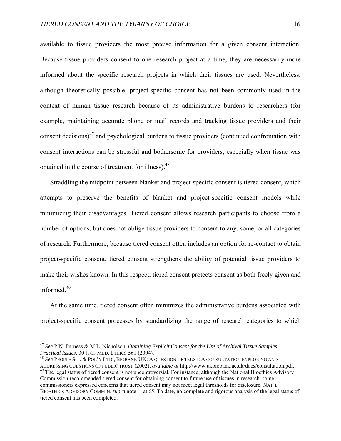available to tissue providers the most precise information for a given consent interaction. Because tissue providers consent to one research project at a time, they are necessarily more informed about the specific research projects in which their tissues are used. Nevertheless, although theoretically possible, project-specific consent has not been commonly used in the context of human tissue research because of its administrative burdens to researchers (for example, maintaining accurate phone or mail records and tracking tissue providers and their consent decisions)<sup> $47$ </sup> and psychological burdens to tissue providers (continued confrontation with consent interactions can be stressful and bothersome for providers, especially when tissue was obtained in the course of treatment for illness).<sup>48</sup>

Straddling the midpoint between blanket and project-specific consent is tiered consent, which attempts to preserve the benefits of blanket and project-specific consent models while minimizing their disadvantages. Tiered consent allows research participants to choose from a number of options, but does not oblige tissue providers to consent to any, some, or all categories of research. Furthermore, because tiered consent often includes an option for re-contact to obtain project-specific consent, tiered consent strengthens the ability of potential tissue providers to make their wishes known. In this respect, tiered consent protects consent as both freely given and informed $49$ 

At the same time, tiered consent often minimizes the administrative burdens associated with project-specific consent processes by standardizing the range of research categories to which

1

<sup>47</sup> *See* P.N. Furness & M.L. Nicholson, *Obtaining Explicit Consent for the Use of Archival Tissue Samples:* 

*Practical Issues*, 30 J. OF MED. ETHICS 561 (2004).<br><sup>48</sup> *See* PEOPLE SCI. & POL'Y LTD., BIOBANK UK: A QUESTION OF TRUST: A CONSULTATION EXPLORING AND<br>ADDRESSING QUESTIONS OF PUBLIC TRUST (2002), *available at http://www.* 

<sup>&</sup>lt;sup>49</sup> The legal status of tiered consent is not uncontroversial. For instance, although the National Bioethics Advisory Commission recommended tiered consent for obtaining consent to future use of tissues in research, some commissioners expressed concerns that tiered consent may not meet legal thresholds for disclosure. NAT'L BIOETHICS ADVISORY COMM'N, *supra* note 1, at 65. To date, no complete and rigorous analysis of the legal status of tiered consent has been completed.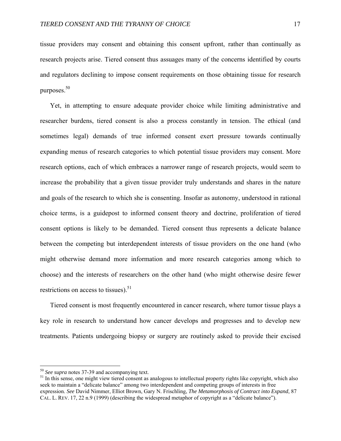tissue providers may consent and obtaining this consent upfront, rather than continually as research projects arise. Tiered consent thus assuages many of the concerns identified by courts and regulators declining to impose consent requirements on those obtaining tissue for research purposes.<sup>50</sup>

Yet, in attempting to ensure adequate provider choice while limiting administrative and researcher burdens, tiered consent is also a process constantly in tension. The ethical (and sometimes legal) demands of true informed consent exert pressure towards continually expanding menus of research categories to which potential tissue providers may consent. More research options, each of which embraces a narrower range of research projects, would seem to increase the probability that a given tissue provider truly understands and shares in the nature and goals of the research to which she is consenting. Insofar as autonomy, understood in rational choice terms, is a guidepost to informed consent theory and doctrine, proliferation of tiered consent options is likely to be demanded. Tiered consent thus represents a delicate balance between the competing but interdependent interests of tissue providers on the one hand (who might otherwise demand more information and more research categories among which to choose) and the interests of researchers on the other hand (who might otherwise desire fewer restrictions on access to tissues). $51$ 

Tiered consent is most frequently encountered in cancer research, where tumor tissue plays a key role in research to understand how cancer develops and progresses and to develop new treatments. Patients undergoing biopsy or surgery are routinely asked to provide their excised

1

<sup>&</sup>lt;sup>50</sup> See supra notes 37-39 and accompanying text.<br><sup>51</sup> In this sense, one might view tiered consent as analogous to intellectual property rights like copyright, which also seek to maintain a "delicate balance" among two interdependent and competing groups of interests in free expression. *See* David Nimmer, Elliot Brown, Gary N. Frischling, *The Metamorphosis of Contract into Expand*, 87 CAL. L. REV. 17, 22 n.9 (1999) (describing the widespread metaphor of copyright as a "delicate balance").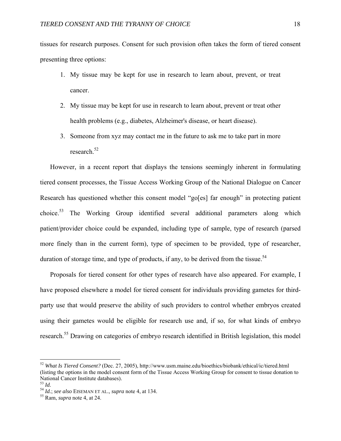tissues for research purposes. Consent for such provision often takes the form of tiered consent presenting three options:

- 1. My tissue may be kept for use in research to learn about, prevent, or treat cancer.
- 2. My tissue may be kept for use in research to learn about, prevent or treat other health problems (e.g., diabetes, Alzheimer's disease, or heart disease).
- 3. Someone from xyz may contact me in the future to ask me to take part in more research<sup>52</sup>

However, in a recent report that displays the tensions seemingly inherent in formulating tiered consent processes, the Tissue Access Working Group of the National Dialogue on Cancer Research has questioned whether this consent model "go[es] far enough" in protecting patient choice.53 The Working Group identified several additional parameters along which patient/provider choice could be expanded, including type of sample, type of research (parsed more finely than in the current form), type of specimen to be provided, type of researcher, duration of storage time, and type of products, if any, to be derived from the tissue.<sup>54</sup>

Proposals for tiered consent for other types of research have also appeared. For example, I have proposed elsewhere a model for tiered consent for individuals providing gametes for thirdparty use that would preserve the ability of such providers to control whether embryos created using their gametes would be eligible for research use and, if so, for what kinds of embryo research.<sup>55</sup> Drawing on categories of embryo research identified in British legislation, this model

<sup>52</sup> *What Is Tiered Consent?* (Dec. 27, 2005), http://www.usm.maine.edu/bioethics/biobank/ethical/ic/tiered.html (listing the options in the model consent form of the Tissue Access Working Group for consent to tissue donation to National Cancer Institute databases).<br> $^{53}$  *Id.* 

<sup>53</sup> *Id.* <sup>54</sup> *Id.*; *see also* EISEMAN ET AL., *supra* note 4, at 134. 55 Ram, *supra* note 4, at 24.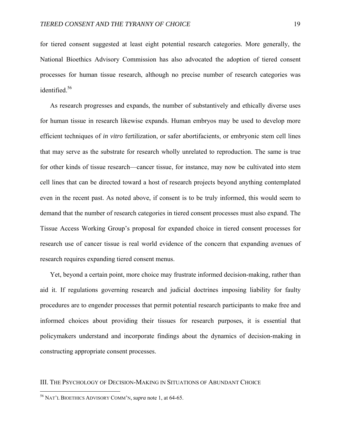for tiered consent suggested at least eight potential research categories. More generally, the National Bioethics Advisory Commission has also advocated the adoption of tiered consent processes for human tissue research, although no precise number of research categories was identified<sup>56</sup>

As research progresses and expands, the number of substantively and ethically diverse uses for human tissue in research likewise expands. Human embryos may be used to develop more efficient techniques of *in vitro* fertilization, or safer abortifacients, or embryonic stem cell lines that may serve as the substrate for research wholly unrelated to reproduction. The same is true for other kinds of tissue research—cancer tissue, for instance, may now be cultivated into stem cell lines that can be directed toward a host of research projects beyond anything contemplated even in the recent past. As noted above, if consent is to be truly informed, this would seem to demand that the number of research categories in tiered consent processes must also expand. The Tissue Access Working Group's proposal for expanded choice in tiered consent processes for research use of cancer tissue is real world evidence of the concern that expanding avenues of research requires expanding tiered consent menus.

Yet, beyond a certain point, more choice may frustrate informed decision-making, rather than aid it. If regulations governing research and judicial doctrines imposing liability for faulty procedures are to engender processes that permit potential research participants to make free and informed choices about providing their tissues for research purposes, it is essential that policymakers understand and incorporate findings about the dynamics of decision-making in constructing appropriate consent processes.

## III. THE PSYCHOLOGY OF DECISION-MAKING IN SITUATIONS OF ABUNDANT CHOICE

<u>.</u>

<sup>56</sup> NAT'L BIOETHICS ADVISORY COMM'N, *supra* note 1, at 64-65.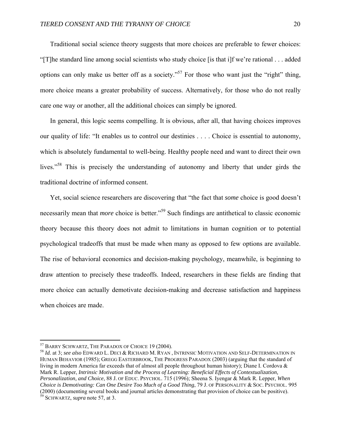Traditional social science theory suggests that more choices are preferable to fewer choices: "[T]he standard line among social scientists who study choice [is that i]f we're rational . . . added options can only make us better off as a society."<sup>57</sup> For those who want just the "right" thing, more choice means a greater probability of success. Alternatively, for those who do not really care one way or another, all the additional choices can simply be ignored.

In general, this logic seems compelling. It is obvious, after all, that having choices improves our quality of life: "It enables us to control our destinies . . . . Choice is essential to autonomy, which is absolutely fundamental to well-being. Healthy people need and want to direct their own lives."58 This is precisely the understanding of autonomy and liberty that under girds the traditional doctrine of informed consent.

Yet, social science researchers are discovering that "the fact that *some* choice is good doesn't necessarily mean that *more* choice is better.<sup>59</sup> Such findings are antithetical to classic economic theory because this theory does not admit to limitations in human cognition or to potential psychological tradeoffs that must be made when many as opposed to few options are available. The rise of behavioral economics and decision-making psychology, meanwhile, is beginning to draw attention to precisely these tradeoffs. Indeed, researchers in these fields are finding that more choice can actually demotivate decision-making and decrease satisfaction and happiness when choices are made.

<sup>&</sup>lt;sup>57</sup> BARRY SCHWARTZ, THE PARADOX OF CHOICE 19 (2004).<br><sup>58</sup> *Id.* at 3; *see also* Edward L. Deci & Richard M. Ryan , Intrinsic Motivation and Self-Determination in HUMAN BEHAVIOR (1985); GREGG EASTERBROOK, THE PROGRESS PARADOX (2003) (arguing that the standard of living in modern America far exceeds that of almost all people throughout human history); Diane I. Cordova & Mark R. Lepper, *Intrinsic Motivation and the Process of Learning: Beneficial Effects of Contextualization, Personalization, and Choice*, 88 J. OF EDUC. PSYCHOL. 715 (1996); Sheena S. Iyengar & Mark R. Lepper, *When Choice is Demotivating: Can One Desire Too Much of a Good Thing*, 79 J. OF PERSONALITY & SOC. PSYCHOL. 995 (2000) (documenting several books and journal articles demonstrating that provision of choice can be positive). 59 SCHWARTZ, *supra* note 57, at 3.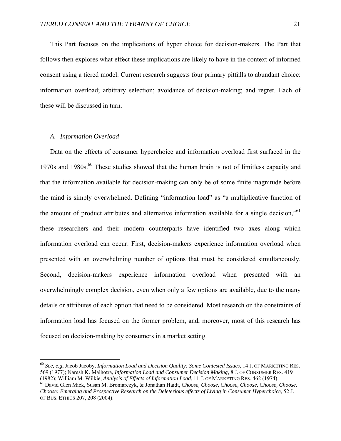This Part focuses on the implications of hyper choice for decision-makers. The Part that follows then explores what effect these implications are likely to have in the context of informed consent using a tiered model. Current research suggests four primary pitfalls to abundant choice: information overload; arbitrary selection; avoidance of decision-making; and regret. Each of these will be discussed in turn.

#### *A. Information Overload*

 $\overline{a}$ 

Data on the effects of consumer hyperchoice and information overload first surfaced in the 1970s and 1980s.<sup>60</sup> These studies showed that the human brain is not of limitless capacity and that the information available for decision-making can only be of some finite magnitude before the mind is simply overwhelmed. Defining "information load" as "a multiplicative function of the amount of product attributes and alternative information available for a single decision,"<sup>61</sup> these researchers and their modern counterparts have identified two axes along which information overload can occur. First, decision-makers experience information overload when presented with an overwhelming number of options that must be considered simultaneously. Second, decision-makers experience information overload when presented with an overwhelmingly complex decision, even when only a few options are available, due to the many details or attributes of each option that need to be considered. Most research on the constraints of information load has focused on the former problem, and, moreover, most of this research has focused on decision-making by consumers in a market setting.

<sup>60</sup> *See, e.g*, Jacob Jacoby, *Information Load and Decision Quality: Some Contested Issues*, 14 J. OF MARKETING RES. 569 (1977); Naresh K. Malhotra, *Information Load and Consumer Decision Making*, 8 J. OF CONSUMER RES. 419

<sup>&</sup>lt;sup>61</sup> David Glen Mick, Susan M. Broniarczyk, & Jonathan Haidt, Choose, Choose, Choose, Choose, Choose, Choose, *Choose: Emerging and Prospective Research on the Deleterious effects of Living in Consumer Hyperchoice*, 52 J. OF BUS. ETHICS 207, 208 (2004).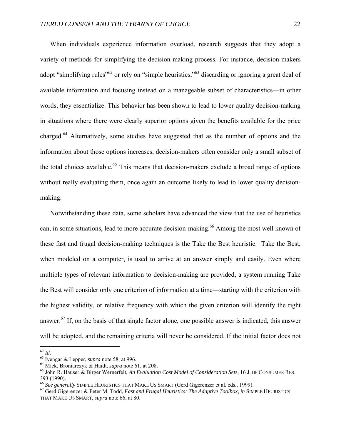When individuals experience information overload, research suggests that they adopt a variety of methods for simplifying the decision-making process. For instance, decision-makers adopt "simplifying rules"<sup>62</sup> or rely on "simple heuristics,"<sup>63</sup> discarding or ignoring a great deal of available information and focusing instead on a manageable subset of characteristics—in other words, they essentialize. This behavior has been shown to lead to lower quality decision-making in situations where there were clearly superior options given the benefits available for the price charged.64 Alternatively, some studies have suggested that as the number of options and the information about those options increases, decision-makers often consider only a small subset of the total choices available.<sup>65</sup> This means that decision-makers exclude a broad range of options without really evaluating them, once again an outcome likely to lead to lower quality decisionmaking.

Notwithstanding these data, some scholars have advanced the view that the use of heuristics can, in some situations, lead to more accurate decision-making.<sup>66</sup> Among the most well known of these fast and frugal decision-making techniques is the Take the Best heuristic. Take the Best, when modeled on a computer, is used to arrive at an answer simply and easily. Even where multiple types of relevant information to decision-making are provided, a system running Take the Best will consider only one criterion of information at a time—starting with the criterion with the highest validity, or relative frequency with which the given criterion will identify the right answer.67 If, on the basis of that single factor alone, one possible answer is indicated, this answer will be adopted, and the remaining criteria will never be considered. If the initial factor does not

 $^{62}$   $\mathit{Id}.$ 

<sup>&</sup>lt;sup>63</sup> Iyengar & Lepper, *supra* note 58, at 996.<br><sup>64</sup> Mick, Broniarczyk & Haidt, *supra* note 61, at 208.<br><sup>65</sup> John R. Hauser & Birger Wernerfelt, *An Evaluation Cost Model of Consideration Sets*, 16 J. OF CONSUMER RES. 393 (1990).<br><sup>66</sup> See generally SIMPLE HEURISTICS THAT MAKE US SMART (Gerd Gigerenzer et al. eds., 1999).

<sup>&</sup>lt;sup>67</sup> Gerd Gigerenzer & Peter M. Todd, Fast and Frugal Heuristics: The Adaptive Toolbox, in SIMPLE HEURISTICS THAT MAKE US SMART, *supra* note 66, at 80.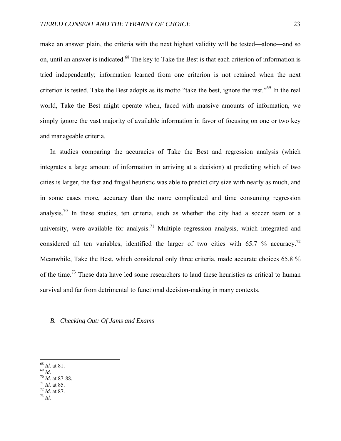make an answer plain, the criteria with the next highest validity will be tested—alone—and so on, until an answer is indicated.<sup>68</sup> The key to Take the Best is that each criterion of information is tried independently; information learned from one criterion is not retained when the next criterion is tested. Take the Best adopts as its motto "take the best, ignore the rest."69 In the real world, Take the Best might operate when, faced with massive amounts of information, we simply ignore the vast majority of available information in favor of focusing on one or two key and manageable criteria.

In studies comparing the accuracies of Take the Best and regression analysis (which integrates a large amount of information in arriving at a decision) at predicting which of two cities is larger, the fast and frugal heuristic was able to predict city size with nearly as much, and in some cases more, accuracy than the more complicated and time consuming regression analysis.<sup>70</sup> In these studies, ten criteria, such as whether the city had a soccer team or a university, were available for analysis.<sup>71</sup> Multiple regression analysis, which integrated and considered all ten variables, identified the larger of two cities with 65.7 % accuracy.<sup>72</sup> Meanwhile, Take the Best, which considered only three criteria, made accurate choices 65.8 % of the time.<sup>73</sup> These data have led some researchers to laud these heuristics as critical to human survival and far from detrimental to functional decision-making in many contexts.

## *B. Checking Out: Of Jams and Exams*

 $^{68}$  *Id.* at 81.

<sup>68</sup> *Id.* at 81. 69 *Id.* 70 *Id.* at 87-88. 71 *Id.* at 85. 72 *Id.* at 87. 73 *Id.*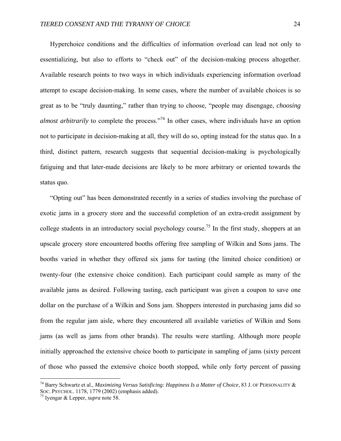Hyperchoice conditions and the difficulties of information overload can lead not only to essentializing, but also to efforts to "check out" of the decision-making process altogether. Available research points to two ways in which individuals experiencing information overload attempt to escape decision-making. In some cases, where the number of available choices is so great as to be "truly daunting," rather than trying to choose, "people may disengage, *choosing almost arbitrarily* to complete the process."<sup>74</sup> In other cases, where individuals have an option not to participate in decision-making at all, they will do so, opting instead for the status quo. In a third, distinct pattern, research suggests that sequential decision-making is psychologically fatiguing and that later-made decisions are likely to be more arbitrary or oriented towards the status quo.

"Opting out" has been demonstrated recently in a series of studies involving the purchase of exotic jams in a grocery store and the successful completion of an extra-credit assignment by college students in an introductory social psychology course.<sup>75</sup> In the first study, shoppers at an upscale grocery store encountered booths offering free sampling of Wilkin and Sons jams. The booths varied in whether they offered six jams for tasting (the limited choice condition) or twenty-four (the extensive choice condition). Each participant could sample as many of the available jams as desired. Following tasting, each participant was given a coupon to save one dollar on the purchase of a Wilkin and Sons jam. Shoppers interested in purchasing jams did so from the regular jam aisle, where they encountered all available varieties of Wilkin and Sons jams (as well as jams from other brands). The results were startling. Although more people initially approached the extensive choice booth to participate in sampling of jams (sixty percent of those who passed the extensive choice booth stopped, while only forty percent of passing

<sup>74</sup> Barry Schwartz et al., *Maximizing Versus Satisficing: Happiness Is a Matter of Choice*, 83 J. OF PERSONALITY & SOC. PSYCHOL. 1178, 1779 (2002) (emphasis added). 75 Iyengar & Lepper, *supra* note 58.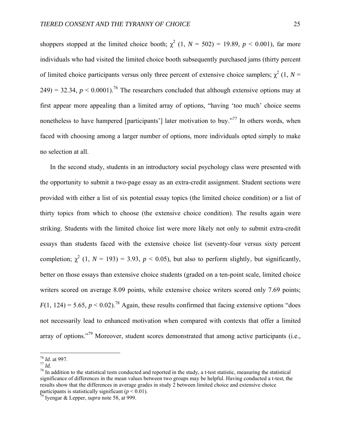shoppers stopped at the limited choice booth;  $\chi^2$  (1,  $N = 502$ ) = 19.89,  $p < 0.001$ ), far more individuals who had visited the limited choice booth subsequently purchased jams (thirty percent of limited choice participants versus only three percent of extensive choice samplers;  $\chi^2$  (1, *N* = 249) = 32.34,  $p < 0.0001$ .<sup>76</sup> The researchers concluded that although extensive options may at first appear more appealing than a limited array of options, "having 'too much' choice seems nonetheless to have hampered [participants'] later motivation to buy."<sup>77</sup> In others words, when faced with choosing among a larger number of options, more individuals opted simply to make no selection at all.

In the second study, students in an introductory social psychology class were presented with the opportunity to submit a two-page essay as an extra-credit assignment. Student sections were provided with either a list of six potential essay topics (the limited choice condition) or a list of thirty topics from which to choose (the extensive choice condition). The results again were striking. Students with the limited choice list were more likely not only to submit extra-credit essays than students faced with the extensive choice list (seventy-four versus sixty percent completion;  $\chi^2$  (1, *N* = 193) = 3.93, *p* < 0.05), but also to perform slightly, but significantly, better on those essays than extensive choice students (graded on a ten-point scale, limited choice writers scored on average 8.09 points, while extensive choice writers scored only 7.69 points;  $F(1, 124) = 5.65$ ,  $p < 0.02$ ).<sup>78</sup> Again, these results confirmed that facing extensive options "does" not necessarily lead to enhanced motivation when compared with contexts that offer a limited array of options."<sup>79</sup> Moreover, student scores demonstrated that among active participants (i.e.,

 $\frac{76}{77}$  *Id.* at 997.

<sup>&</sup>lt;sup>78</sup> In addition to the statistical tests conducted and reported in the study, a t-test statistic, measuring the statistical significance of differences in the mean values between two groups may be helpful. Having conducted a t-test, the results show that the differences in average grades in study 2 between limited choice and extensive choice participants is statistically significant (*p* < 0.01).<br><sup>79</sup> Iyengar & Lepper, *supra* note 58, at 999.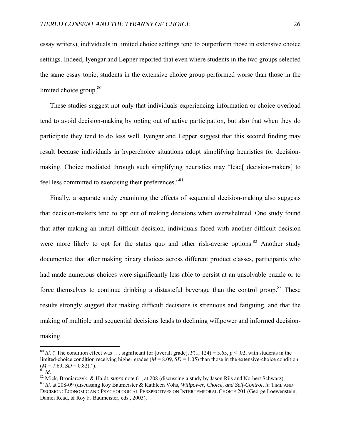essay writers), individuals in limited choice settings tend to outperform those in extensive choice settings. Indeed, Iyengar and Lepper reported that even where students in the two groups selected the same essay topic, students in the extensive choice group performed worse than those in the limited choice group.<sup>80</sup>

These studies suggest not only that individuals experiencing information or choice overload tend to avoid decision-making by opting out of active participation, but also that when they do participate they tend to do less well. Iyengar and Lepper suggest that this second finding may result because individuals in hyperchoice situations adopt simplifying heuristics for decisionmaking. Choice mediated through such simplifying heuristics may "lead[ decision-makers] to feel less committed to exercising their preferences."81

Finally, a separate study examining the effects of sequential decision-making also suggests that decision-makers tend to opt out of making decisions when overwhelmed. One study found that after making an initial difficult decision, individuals faced with another difficult decision were more likely to opt for the status quo and other risk-averse options.<sup>82</sup> Another study documented that after making binary choices across different product classes, participants who had made numerous choices were significantly less able to persist at an unsolvable puzzle or to force themselves to continue drinking a distasteful beverage than the control group.<sup>83</sup> These results strongly suggest that making difficult decisions is strenuous and fatiguing, and that the making of multiple and sequential decisions leads to declining willpower and informed decisionmaking.

1

<sup>&</sup>lt;sup>80</sup> *Id.* ("The condition effect was ... significant for [overall grade],  $F(1, 124) = 5.65$ ,  $p < .02$ , with students in the limited-choice condition receiving higher grades ( $M = 8.09$ ,  $SD = 1.05$ ) than those in the extensive-choice condition  $(M = 7.69, SD = 0.82)$ .").<br><sup>81</sup> *Id.*<br><sup>82</sup> Mick, Broniarczyk, & Haidt, *supra* note 61, at 208 (discussing a study by Jason Riis and Norbert Schwarz).<br><sup>83</sup> *Id.* at 208-09 (discussing Roy Baumeister & Kathleen Vohs, *Willpowe* 

DECISION: ECONOMIC AND PSYCHOLOGICAL PERSPECTIVES ON INTERTEMPORAL CHOICE 201 (George Loewenstein, Daniel Read, & Roy F. Baumeister, eds., 2003).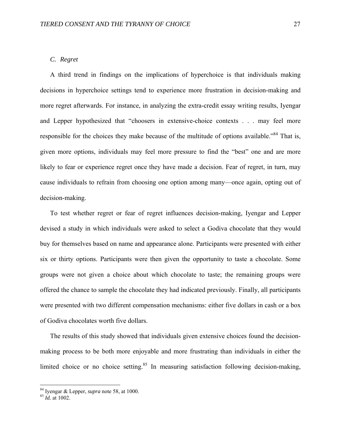## *C. Regret*

A third trend in findings on the implications of hyperchoice is that individuals making decisions in hyperchoice settings tend to experience more frustration in decision-making and more regret afterwards. For instance, in analyzing the extra-credit essay writing results, Iyengar and Lepper hypothesized that "choosers in extensive-choice contexts . . . may feel more responsible for the choices they make because of the multitude of options available."<sup>84</sup> That is, given more options, individuals may feel more pressure to find the "best" one and are more likely to fear or experience regret once they have made a decision. Fear of regret, in turn, may cause individuals to refrain from choosing one option among many—once again, opting out of decision-making.

To test whether regret or fear of regret influences decision-making, Iyengar and Lepper devised a study in which individuals were asked to select a Godiva chocolate that they would buy for themselves based on name and appearance alone. Participants were presented with either six or thirty options. Participants were then given the opportunity to taste a chocolate. Some groups were not given a choice about which chocolate to taste; the remaining groups were offered the chance to sample the chocolate they had indicated previously. Finally, all participants were presented with two different compensation mechanisms: either five dollars in cash or a box of Godiva chocolates worth five dollars.

The results of this study showed that individuals given extensive choices found the decisionmaking process to be both more enjoyable and more frustrating than individuals in either the limited choice or no choice setting. $85$  In measuring satisfaction following decision-making,

<sup>84</sup> Iyengar & Lepper, *supra* note 58, at 1000. 85 *Id.* at 1002.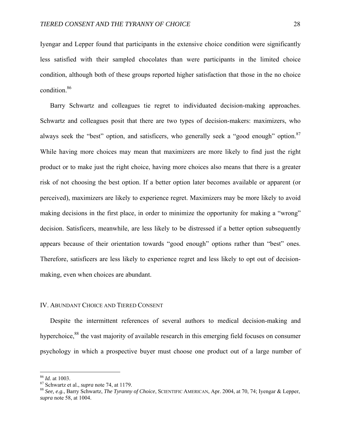Iyengar and Lepper found that participants in the extensive choice condition were significantly less satisfied with their sampled chocolates than were participants in the limited choice condition, although both of these groups reported higher satisfaction that those in the no choice condition.86

Barry Schwartz and colleagues tie regret to individuated decision-making approaches. Schwartz and colleagues posit that there are two types of decision-makers: maximizers, who always seek the "best" option, and satisficers, who generally seek a "good enough" option.<sup>87</sup> While having more choices may mean that maximizers are more likely to find just the right product or to make just the right choice, having more choices also means that there is a greater risk of not choosing the best option. If a better option later becomes available or apparent (or perceived), maximizers are likely to experience regret. Maximizers may be more likely to avoid making decisions in the first place, in order to minimize the opportunity for making a "wrong" decision. Satisficers, meanwhile, are less likely to be distressed if a better option subsequently appears because of their orientation towards "good enough" options rather than "best" ones. Therefore, satisficers are less likely to experience regret and less likely to opt out of decisionmaking, even when choices are abundant.

## IV. ABUNDANT CHOICE AND TIERED CONSENT

Despite the intermittent references of several authors to medical decision-making and hyperchoice,<sup>88</sup> the vast majority of available research in this emerging field focuses on consumer psychology in which a prospective buyer must choose one product out of a large number of

<sup>&</sup>lt;sup>86</sup> *Id.* at 1003.<br><sup>87</sup> Schwartz et al., *supra* note 74, at 1179.<br><sup>88</sup> *See, e.g.*, Barry Schwartz, *The Tyranny of Choice*, SCIENTIFIC AMERICAN, Apr. 2004, at 70, 74; Iyengar & Lepper, *supra* note 58, at 1004.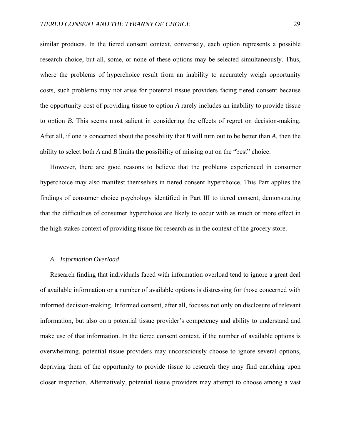similar products. In the tiered consent context, conversely, each option represents a possible research choice, but all, some, or none of these options may be selected simultaneously. Thus, where the problems of hyperchoice result from an inability to accurately weigh opportunity costs, such problems may not arise for potential tissue providers facing tiered consent because the opportunity cost of providing tissue to option *A* rarely includes an inability to provide tissue to option *B*. This seems most salient in considering the effects of regret on decision-making. After all, if one is concerned about the possibility that *B* will turn out to be better than *A*, then the ability to select both *A* and *B* limits the possibility of missing out on the "best" choice.

However, there are good reasons to believe that the problems experienced in consumer hyperchoice may also manifest themselves in tiered consent hyperchoice. This Part applies the findings of consumer choice psychology identified in Part III to tiered consent, demonstrating that the difficulties of consumer hyperchoice are likely to occur with as much or more effect in the high stakes context of providing tissue for research as in the context of the grocery store.

#### *A. Information Overload*

Research finding that individuals faced with information overload tend to ignore a great deal of available information or a number of available options is distressing for those concerned with informed decision-making. Informed consent, after all, focuses not only on disclosure of relevant information, but also on a potential tissue provider's competency and ability to understand and make use of that information. In the tiered consent context, if the number of available options is overwhelming, potential tissue providers may unconsciously choose to ignore several options, depriving them of the opportunity to provide tissue to research they may find enriching upon closer inspection. Alternatively, potential tissue providers may attempt to choose among a vast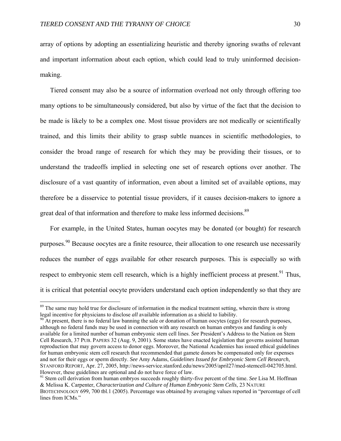array of options by adopting an essentializing heuristic and thereby ignoring swaths of relevant and important information about each option, which could lead to truly uninformed decisionmaking.

Tiered consent may also be a source of information overload not only through offering too many options to be simultaneously considered, but also by virtue of the fact that the decision to be made is likely to be a complex one. Most tissue providers are not medically or scientifically trained, and this limits their ability to grasp subtle nuances in scientific methodologies, to consider the broad range of research for which they may be providing their tissues, or to understand the tradeoffs implied in selecting one set of research options over another. The disclosure of a vast quantity of information, even about a limited set of available options, may therefore be a disservice to potential tissue providers, if it causes decision-makers to ignore a great deal of that information and therefore to make less informed decisions.<sup>89</sup>

For example, in the United States, human oocytes may be donated (or bought) for research purposes.90 Because oocytes are a finite resource, their allocation to one research use necessarily reduces the number of eggs available for other research purposes. This is especially so with respect to embryonic stem cell research, which is a highly inefficient process at present.<sup>91</sup> Thus, it is critical that potential oocyte providers understand each option independently so that they are

1

<sup>&</sup>lt;sup>89</sup> The same may hold true for disclosure of information in the medical treatment setting, wherein there is strong legal incentive for physicians to disclose *all* available information as a shield to liability.<br><sup>90</sup> At present, there is no federal law banning the sale or donation of human oocytes (eggs) for research purposes,

although no federal funds may be used in connection with any research on human embryos and funding is only available for a limited number of human embryonic stem cell lines. *See* President's Address to the Nation on Stem Cell Research, 37 PUB. PAPERS 32 (Aug. 9, 2001). Some states have enacted legislation that governs assisted human reproduction that may govern access to donor eggs. Moreover, the National Academies has issued ethical guidelines for human embryonic stem cell research that recommended that gamete donors be compensated only for expenses and not for their eggs or sperm directly. *See* Amy Adams, *Guidelines Issued for Embryonic Stem Cell Research*, STANFORD REPORT, Apr. 27, 2005, http://news-service.stanford.edu/news/2005/april27/med-stemcell-042705.html. However, these guidelines are optional and do not have force of law. 91 Stem cell derivation from human embryos succeeds roughly thirty-five percent of the time. *See* Lisa M. Hoffman

<sup>&</sup>amp; Melissa K. Carpenter, *Characterization and Culture of Human Embryonic Stem Cells*, 23 NATURE BIOTECHNOLOGY 699, 700 tbl.1 (2005). Percentage was obtained by averaging values reported in "percentage of cell lines from ICMs."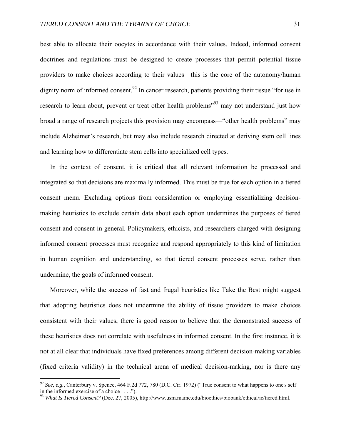best able to allocate their oocytes in accordance with their values. Indeed, informed consent doctrines and regulations must be designed to create processes that permit potential tissue providers to make choices according to their values—this is the core of the autonomy/human dignity norm of informed consent.<sup>92</sup> In cancer research, patients providing their tissue "for use in research to learn about, prevent or treat other health problems<sup>393</sup> may not understand just how broad a range of research projects this provision may encompass—"other health problems" may include Alzheimer's research, but may also include research directed at deriving stem cell lines and learning how to differentiate stem cells into specialized cell types.

In the context of consent, it is critical that all relevant information be processed and integrated so that decisions are maximally informed. This must be true for each option in a tiered consent menu. Excluding options from consideration or employing essentializing decisionmaking heuristics to exclude certain data about each option undermines the purposes of tiered consent and consent in general. Policymakers, ethicists, and researchers charged with designing informed consent processes must recognize and respond appropriately to this kind of limitation in human cognition and understanding, so that tiered consent processes serve, rather than undermine, the goals of informed consent.

Moreover, while the success of fast and frugal heuristics like Take the Best might suggest that adopting heuristics does not undermine the ability of tissue providers to make choices consistent with their values, there is good reason to believe that the demonstrated success of these heuristics does not correlate with usefulness in informed consent. In the first instance, it is not at all clear that individuals have fixed preferences among different decision-making variables (fixed criteria validity) in the technical arena of medical decision-making, nor is there any

<sup>&</sup>lt;sup>92</sup> *See, e.g.*, Canterbury v. Spence, 464 F.2d 772, 780 (D.C. Cir. 1972) ("True consent to what happens to one's self in the informed exercise of a choice . . . .").

<sup>93</sup> *What Is Tiered Consent?* (Dec. 27, 2005), http://www.usm.maine.edu/bioethics/biobank/ethical/ic/tiered.html.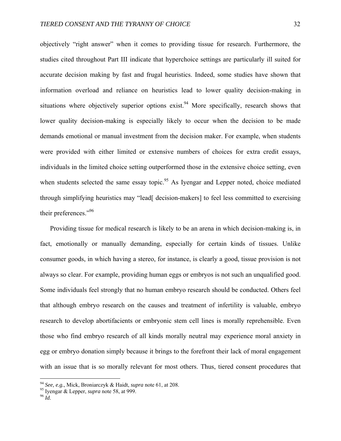objectively "right answer" when it comes to providing tissue for research. Furthermore, the studies cited throughout Part III indicate that hyperchoice settings are particularly ill suited for accurate decision making by fast and frugal heuristics. Indeed, some studies have shown that information overload and reliance on heuristics lead to lower quality decision-making in situations where objectively superior options exist.<sup>94</sup> More specifically, research shows that lower quality decision-making is especially likely to occur when the decision to be made demands emotional or manual investment from the decision maker. For example, when students were provided with either limited or extensive numbers of choices for extra credit essays, individuals in the limited choice setting outperformed those in the extensive choice setting, even when students selected the same essay topic.<sup>95</sup> As Iyengar and Lepper noted, choice mediated through simplifying heuristics may "lead[ decision-makers] to feel less committed to exercising their preferences."96

Providing tissue for medical research is likely to be an arena in which decision-making is, in fact, emotionally or manually demanding, especially for certain kinds of tissues. Unlike consumer goods, in which having a stereo, for instance, is clearly a good, tissue provision is not always so clear. For example, providing human eggs or embryos is not such an unqualified good. Some individuals feel strongly that no human embryo research should be conducted. Others feel that although embryo research on the causes and treatment of infertility is valuable, embryo research to develop abortifacients or embryonic stem cell lines is morally reprehensible. Even those who find embryo research of all kinds morally neutral may experience moral anxiety in egg or embryo donation simply because it brings to the forefront their lack of moral engagement with an issue that is so morally relevant for most others. Thus, tiered consent procedures that

<sup>94</sup> *See, e.g.*, Mick, Broniarczyk & Haidt, *supra* note 61, at 208. 95 Iyengar & Lepper, *supra* note 58, at 999. 96 *Id.*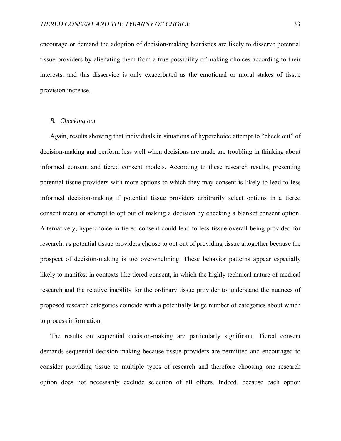encourage or demand the adoption of decision-making heuristics are likely to disserve potential tissue providers by alienating them from a true possibility of making choices according to their interests, and this disservice is only exacerbated as the emotional or moral stakes of tissue provision increase.

## *B. Checking out*

Again, results showing that individuals in situations of hyperchoice attempt to "check out" of decision-making and perform less well when decisions are made are troubling in thinking about informed consent and tiered consent models. According to these research results, presenting potential tissue providers with more options to which they may consent is likely to lead to less informed decision-making if potential tissue providers arbitrarily select options in a tiered consent menu or attempt to opt out of making a decision by checking a blanket consent option. Alternatively, hyperchoice in tiered consent could lead to less tissue overall being provided for research, as potential tissue providers choose to opt out of providing tissue altogether because the prospect of decision-making is too overwhelming. These behavior patterns appear especially likely to manifest in contexts like tiered consent, in which the highly technical nature of medical research and the relative inability for the ordinary tissue provider to understand the nuances of proposed research categories coincide with a potentially large number of categories about which to process information.

The results on sequential decision-making are particularly significant. Tiered consent demands sequential decision-making because tissue providers are permitted and encouraged to consider providing tissue to multiple types of research and therefore choosing one research option does not necessarily exclude selection of all others. Indeed, because each option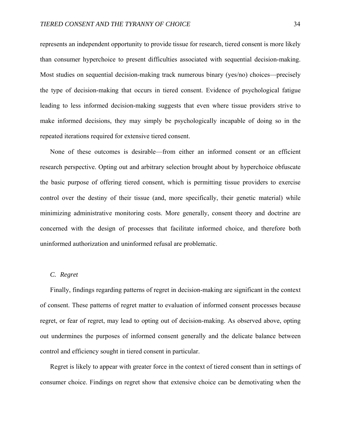represents an independent opportunity to provide tissue for research, tiered consent is more likely than consumer hyperchoice to present difficulties associated with sequential decision-making. Most studies on sequential decision-making track numerous binary (yes/no) choices—precisely the type of decision-making that occurs in tiered consent. Evidence of psychological fatigue leading to less informed decision-making suggests that even where tissue providers strive to make informed decisions, they may simply be psychologically incapable of doing so in the repeated iterations required for extensive tiered consent.

None of these outcomes is desirable—from either an informed consent or an efficient research perspective. Opting out and arbitrary selection brought about by hyperchoice obfuscate the basic purpose of offering tiered consent, which is permitting tissue providers to exercise control over the destiny of their tissue (and, more specifically, their genetic material) while minimizing administrative monitoring costs. More generally, consent theory and doctrine are concerned with the design of processes that facilitate informed choice, and therefore both uninformed authorization and uninformed refusal are problematic.

## *C. Regret*

Finally, findings regarding patterns of regret in decision-making are significant in the context of consent. These patterns of regret matter to evaluation of informed consent processes because regret, or fear of regret, may lead to opting out of decision-making. As observed above, opting out undermines the purposes of informed consent generally and the delicate balance between control and efficiency sought in tiered consent in particular.

Regret is likely to appear with greater force in the context of tiered consent than in settings of consumer choice. Findings on regret show that extensive choice can be demotivating when the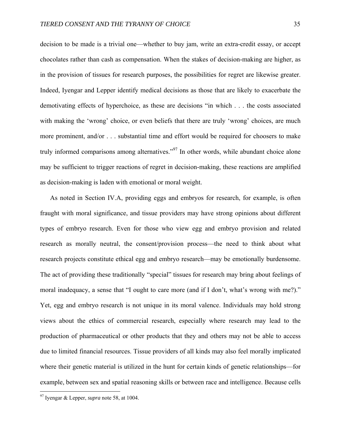decision to be made is a trivial one—whether to buy jam, write an extra-credit essay, or accept chocolates rather than cash as compensation. When the stakes of decision-making are higher, as in the provision of tissues for research purposes, the possibilities for regret are likewise greater. Indeed, Iyengar and Lepper identify medical decisions as those that are likely to exacerbate the demotivating effects of hyperchoice, as these are decisions "in which . . . the costs associated with making the 'wrong' choice, or even beliefs that there are truly 'wrong' choices, are much more prominent, and/or . . . substantial time and effort would be required for choosers to make truly informed comparisons among alternatives."<sup>97</sup> In other words, while abundant choice alone may be sufficient to trigger reactions of regret in decision-making, these reactions are amplified as decision-making is laden with emotional or moral weight.

As noted in Section IV.A, providing eggs and embryos for research, for example, is often fraught with moral significance, and tissue providers may have strong opinions about different types of embryo research. Even for those who view egg and embryo provision and related research as morally neutral, the consent/provision process—the need to think about what research projects constitute ethical egg and embryo research—may be emotionally burdensome. The act of providing these traditionally "special" tissues for research may bring about feelings of moral inadequacy, a sense that "I ought to care more (and if I don't, what's wrong with me?)." Yet, egg and embryo research is not unique in its moral valence. Individuals may hold strong views about the ethics of commercial research, especially where research may lead to the production of pharmaceutical or other products that they and others may not be able to access due to limited financial resources. Tissue providers of all kinds may also feel morally implicated where their genetic material is utilized in the hunt for certain kinds of genetic relationships—for example, between sex and spatial reasoning skills or between race and intelligence. Because cells

<sup>97</sup> Iyengar & Lepper, *supra* note 58, at 1004.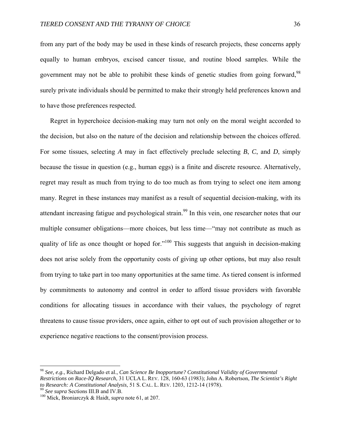from any part of the body may be used in these kinds of research projects, these concerns apply equally to human embryos, excised cancer tissue, and routine blood samples. While the government may not be able to prohibit these kinds of genetic studies from going forward, <sup>98</sup> surely private individuals should be permitted to make their strongly held preferences known and to have those preferences respected.

Regret in hyperchoice decision-making may turn not only on the moral weight accorded to the decision, but also on the nature of the decision and relationship between the choices offered. For some tissues, selecting *A* may in fact effectively preclude selecting *B*, *C*, and *D*, simply because the tissue in question (e.g., human eggs) is a finite and discrete resource. Alternatively, regret may result as much from trying to do too much as from trying to select one item among many. Regret in these instances may manifest as a result of sequential decision-making, with its attendant increasing fatigue and psychological strain.<sup>99</sup> In this vein, one researcher notes that our multiple consumer obligations—more choices, but less time—"may not contribute as much as quality of life as once thought or hoped for."<sup>100</sup> This suggests that anguish in decision-making does not arise solely from the opportunity costs of giving up other options, but may also result from trying to take part in too many opportunities at the same time. As tiered consent is informed by commitments to autonomy and control in order to afford tissue providers with favorable conditions for allocating tissues in accordance with their values, the psychology of regret threatens to cause tissue providers, once again, either to opt out of such provision altogether or to experience negative reactions to the consent/provision process.

<sup>98</sup> *See, e.g.*, Richard Delgado et al., *Can Science Be Inopportune? Constitutional Validity of Governmental Restrictions on Race-IQ Research*, 31 UCLA L. REV. 128, 160-63 (1983); John A. Robertson, *The Scientist's Right to Research: A Constitutional Analysis*, 51 S. CAL. L. REV. 1203, 1212-14 (1978). 99 *See supra* Sections III.B and IV.B. 100 Mick, Broniarczyk & Haidt, *supra* note 61, at 207.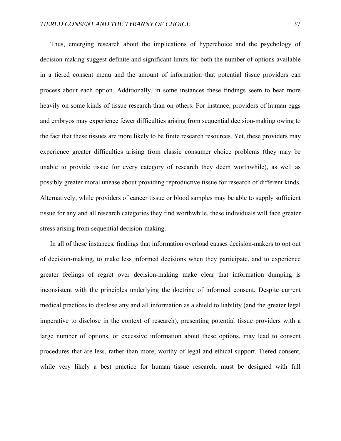Thus, emerging research about the implications of hyperchoice and the psychology of decision-making suggest definite and significant limits for both the number of options available in a tiered consent menu and the amount of information that potential tissue providers can process about each option. Additionally, in some instances these findings seem to bear more heavily on some kinds of tissue research than on others. For instance, providers of human eggs and embryos may experience fewer difficulties arising from sequential decision-making owing to the fact that these tissues are more likely to be finite research resources. Yet, these providers may experience greater difficulties arising from classic consumer choice problems (they may be unable to provide tissue for every category of research they deem worthwhile), as well as possibly greater moral unease about providing reproductive tissue for research of different kinds. Alternatively, while providers of cancer tissue or blood samples may be able to supply sufficient tissue for any and all research categories they find worthwhile, these individuals will face greater stress arising from sequential decision-making.

In all of these instances, findings that information overload causes decision-makers to opt out of decision-making, to make less informed decisions when they participate, and to experience greater feelings of regret over decision-making make clear that information dumping is inconsistent with the principles underlying the doctrine of informed consent. Despite current medical practices to disclose any and all information as a shield to liability (and the greater legal imperative to disclose in the context of research), presenting potential tissue providers with a large number of options, or excessive information about these options, may lead to consent procedures that are less, rather than more, worthy of legal and ethical support. Tiered consent, while very likely a best practice for human tissue research, must be designed with full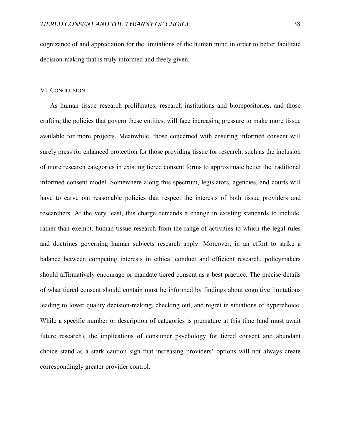cognizance of and appreciation for the limitations of the human mind in order to better facilitate decision-making that is truly informed and freely given.

#### VI. CONCLUSION

As human tissue research proliferates, research institutions and biorepositories, and those crafting the policies that govern these entities, will face increasing pressure to make more tissue available for more projects. Meanwhile, those concerned with ensuring informed consent will surely press for enhanced protection for those providing tissue for research, such as the inclusion of more research categories in existing tiered consent forms to approximate better the traditional informed consent model. Somewhere along this spectrum, legislators, agencies, and courts will have to carve out reasonable policies that respect the interests of both tissue providers and researchers. At the very least, this charge demands a change in existing standards to include, rather than exempt, human tissue research from the range of activities to which the legal rules and doctrines governing human subjects research apply. Moreover, in an effort to strike a balance between competing interests in ethical conduct and efficient research, policymakers should affirmatively encourage or mandate tiered consent as a best practice. The precise details of what tiered consent should contain must be informed by findings about cognitive limitations leading to lower quality decision-making, checking out, and regret in situations of hyperchoice. While a specific number or description of categories is premature at this time (and must await future research), the implications of consumer psychology for tiered consent and abundant choice stand as a stark caution sign that increasing providers' options will not always create correspondingly greater provider control.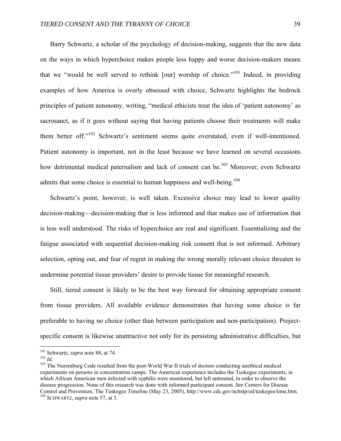Barry Schwartz, a scholar of the psychology of decision-making, suggests that the new data on the ways in which hyperchoice makes people less happy and worse decision-makers means that we "would be well served to rethink [our] worship of choice."101 Indeed, in providing examples of how America is overly obsessed with choice, Schwartz highlights the bedrock principles of patient autonomy, writing, "medical ethicists treat the idea of 'patient autonomy' as sacrosanct, as if it goes without saying that having patients choose their treatments will make them better off."<sup>102</sup> Schwartz's sentiment seems quite overstated, even if well-intentioned. Patient autonomy is important, not in the least because we have learned on several occasions how detrimental medical paternalism and lack of consent can be.<sup>103</sup> Moreover, even Schwartz admits that some choice is essential to human happiness and well-being.<sup>104</sup>

Schwartz's point, however, is well taken. Excessive choice may lead to lower quality decision-making—decision-making that is less informed and that makes use of information that is less well understood. The risks of hyperchoice are real and significant. Essentializing and the fatigue associated with sequential decision-making risk consent that is not informed. Arbitrary selection, opting out, and fear of regret in making the wrong morally relevant choice threaten to undermine potential tissue providers' desire to provide tissue for meaningful research.

Still, tiered consent is likely to be the best way forward for obtaining appropriate consent from tissue providers. All available evidence demonstrates that having some choice is far preferable to having no choice (other than between participation and non-participation). Projectspecific consent is likewise unattractive not only for its persisting administrative difficulties, but

<sup>&</sup>lt;sup>101</sup> Schwartz, *supra* note 88, at 74.

<sup>102</sup> *Id.* 103 The Nuremburg Code resulted from the post-World War II trials of doctors conducting unethical medical 103 The Nuremburg Code resulted from the post-World War II trials of doctors conducting unethical medical experiments on persons in concentration camps. The American experience includes the Tuskegee experiments, in which African American men infected with syphilis were monitored, but left untreated, in order to observe the disease progression. None of this research was done with informed participant consent. *See* Centers for Disease Control and Prevention, The Tuskegee Timeline (May 23, 2005), http://www.cdc.gov/nchstp/od/tuskegee/time.htm. 104 SCHWARTZ, *supra* note 57, at 3.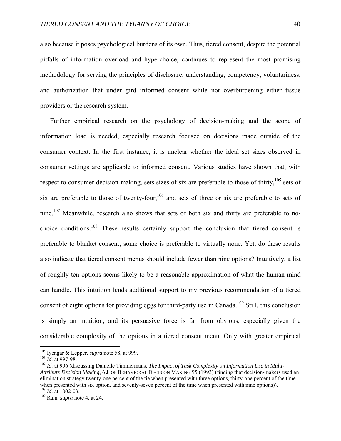also because it poses psychological burdens of its own. Thus, tiered consent, despite the potential pitfalls of information overload and hyperchoice, continues to represent the most promising methodology for serving the principles of disclosure, understanding, competency, voluntariness, and authorization that under gird informed consent while not overburdening either tissue providers or the research system.

Further empirical research on the psychology of decision-making and the scope of information load is needed, especially research focused on decisions made outside of the consumer context. In the first instance, it is unclear whether the ideal set sizes observed in consumer settings are applicable to informed consent. Various studies have shown that, with respect to consumer decision-making, sets sizes of six are preferable to those of thirty, $105$  sets of six are preferable to those of twenty-four,<sup>106</sup> and sets of three or six are preferable to sets of nine.<sup>107</sup> Meanwhile, research also shows that sets of both six and thirty are preferable to nochoice conditions.108 These results certainly support the conclusion that tiered consent is preferable to blanket consent; some choice is preferable to virtually none. Yet, do these results also indicate that tiered consent menus should include fewer than nine options? Intuitively, a list of roughly ten options seems likely to be a reasonable approximation of what the human mind can handle. This intuition lends additional support to my previous recommendation of a tiered consent of eight options for providing eggs for third-party use in Canada.<sup>109</sup> Still, this conclusion is simply an intuition, and its persuasive force is far from obvious, especially given the considerable complexity of the options in a tiered consent menu. Only with greater empirical

1

<sup>&</sup>lt;sup>105</sup> Iyengar & Lepper, *supra* note 58, at 999.<br><sup>106</sup> *Id.* at 997-98.<br><sup>107</sup> *Id.* at 996 (discussing Danielle Timmermans, *The Impact of Task Complexity on Information Use in Multi-Attribute Decision Making*, 6 J. OF BEHAVIORAL DECISION MAKING 95 (1993) (finding that decision-makers used an elimination strategy twenty-one percent of the tie when presented with three options, thirty-one percent of the time when presented with six option, and seventy-seven percent of the time when presented with nine options)).  $108$  *Id.* at 1002-03.

<sup>&</sup>lt;sup>109</sup> Ram, *supra* note 4, at 24.